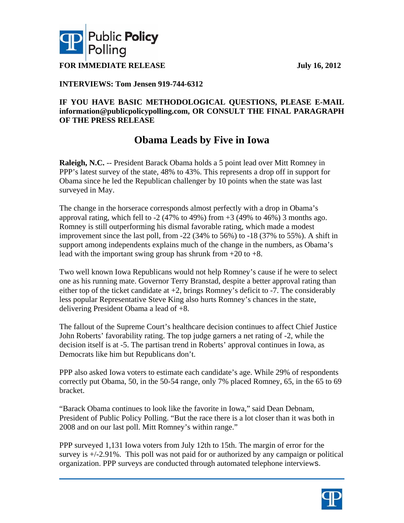



**FOR IMMEDIATE RELEASE July 16, 2012** 

### **INTERVIEWS: Tom Jensen 919-744-6312**

### **IF YOU HAVE BASIC METHODOLOGICAL QUESTIONS, PLEASE E-MAIL information@publicpolicypolling.com, OR CONSULT THE FINAL PARAGRAPH OF THE PRESS RELEASE**

## **Obama Leads by Five in Iowa**

**Raleigh, N.C.** -- President Barack Obama holds a 5 point lead over Mitt Romney in PPP's latest survey of the state, 48% to 43%. This represents a drop off in support for Obama since he led the Republican challenger by 10 points when the state was last surveyed in May.

The change in the horserace corresponds almost perfectly with a drop in Obama's approval rating, which fell to  $-2$  (47% to 49%) from  $+3$  (49% to 46%) 3 months ago. Romney is still outperforming his dismal favorable rating, which made a modest improvement since the last poll, from -22 (34% to 56%) to -18 (37% to 55%). A shift in support among independents explains much of the change in the numbers, as Obama's lead with the important swing group has shrunk from  $+20$  to  $+8$ .

Two well known Iowa Republicans would not help Romney's cause if he were to select one as his running mate. Governor Terry Branstad, despite a better approval rating than either top of the ticket candidate at  $+2$ , brings Romney's deficit to  $-7$ . The considerably less popular Representative Steve King also hurts Romney's chances in the state, delivering President Obama a lead of +8.

The fallout of the Supreme Court's healthcare decision continues to affect Chief Justice John Roberts' favorability rating. The top judge garners a net rating of -2, while the decision itself is at -5. The partisan trend in Roberts' approval continues in Iowa, as Democrats like him but Republicans don't.

PPP also asked Iowa voters to estimate each candidate's age. While 29% of respondents correctly put Obama, 50, in the 50-54 range, only 7% placed Romney, 65, in the 65 to 69 bracket.

"Barack Obama continues to look like the favorite in Iowa," said Dean Debnam, President of Public Policy Polling. "But the race there is a lot closer than it was both in 2008 and on our last poll. Mitt Romney's within range."

PPP surveyed 1,131 Iowa voters from July 12th to 15th. The margin of error for the survey is +/-2.91%. This poll was not paid for or authorized by any campaign or political organization. PPP surveys are conducted through automated telephone interviews.

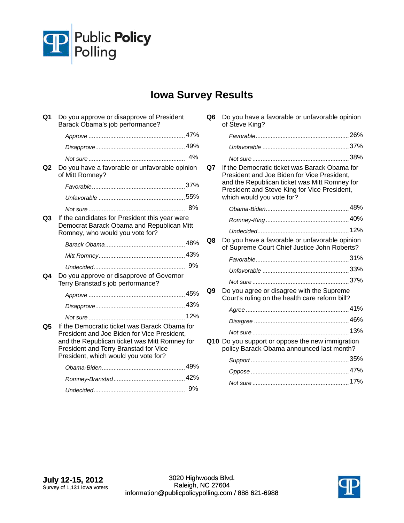

# **Iowa Survey Results**

| Q <sub>1</sub> | Do you approve or disapprove of President<br>Barack Obama's job performance?                                                                                                                                                   |    |
|----------------|--------------------------------------------------------------------------------------------------------------------------------------------------------------------------------------------------------------------------------|----|
|                |                                                                                                                                                                                                                                |    |
|                |                                                                                                                                                                                                                                |    |
|                |                                                                                                                                                                                                                                | 4% |
| Q <sub>2</sub> | Do you have a favorable or unfavorable opinion<br>of Mitt Romney?                                                                                                                                                              |    |
|                |                                                                                                                                                                                                                                |    |
|                |                                                                                                                                                                                                                                |    |
|                |                                                                                                                                                                                                                                |    |
| Q <sub>3</sub> | If the candidates for President this year were<br>Democrat Barack Obama and Republican Mitt<br>Romney, who would you vote for?                                                                                                 |    |
|                |                                                                                                                                                                                                                                |    |
|                |                                                                                                                                                                                                                                |    |
|                |                                                                                                                                                                                                                                |    |
| Q4             | Do you approve or disapprove of Governor<br>Terry Branstad's job performance?                                                                                                                                                  |    |
|                |                                                                                                                                                                                                                                |    |
|                |                                                                                                                                                                                                                                |    |
|                |                                                                                                                                                                                                                                |    |
| Q5             | If the Democratic ticket was Barack Obama for<br>President and Joe Biden for Vice President,<br>and the Republican ticket was Mitt Romney for<br>President and Terry Branstad for Vice<br>President, which would you vote for? |    |
|                |                                                                                                                                                                                                                                |    |
|                |                                                                                                                                                                                                                                |    |
|                |                                                                                                                                                                                                                                |    |
|                |                                                                                                                                                                                                                                |    |

**Q6** Do you have a favorable or unfavorable opinion of Steve King?

|    |                                                                                                                                                                                                                            | 37% |
|----|----------------------------------------------------------------------------------------------------------------------------------------------------------------------------------------------------------------------------|-----|
|    |                                                                                                                                                                                                                            |     |
| Q7 | If the Democratic ticket was Barack Obama for<br>President and Joe Biden for Vice President,<br>and the Republican ticket was Mitt Romney for<br>President and Steve King for Vice President,<br>which would you vote for? |     |
|    |                                                                                                                                                                                                                            |     |
|    |                                                                                                                                                                                                                            |     |
|    |                                                                                                                                                                                                                            |     |
| Q8 | Do you have a favorable or unfavorable opinion<br>of Supreme Court Chief Justice John Roberts?                                                                                                                             |     |
|    |                                                                                                                                                                                                                            |     |
|    |                                                                                                                                                                                                                            |     |
|    |                                                                                                                                                                                                                            |     |
| Q9 | Do you agree or disagree with the Supreme<br>Court's ruling on the health care reform bill?                                                                                                                                |     |
|    |                                                                                                                                                                                                                            |     |
|    |                                                                                                                                                                                                                            |     |
|    |                                                                                                                                                                                                                            |     |
|    | Q10 Do you support or oppose the new immigration<br>policy Barack Obama announced last month?                                                                                                                              |     |
|    |                                                                                                                                                                                                                            |     |
|    |                                                                                                                                                                                                                            |     |
|    |                                                                                                                                                                                                                            | 17% |
|    |                                                                                                                                                                                                                            |     |

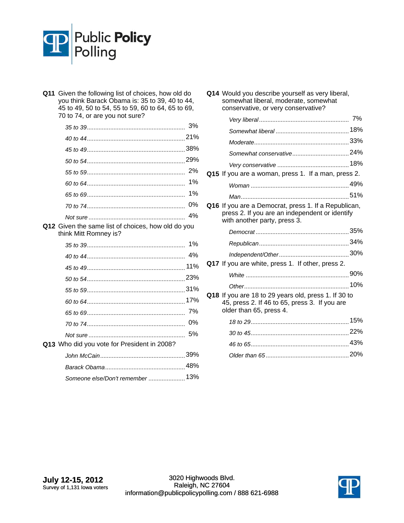

| Q11 | Given the following list of choices, how old do<br>you think Barack Obama is: 35 to 39, 40 to 44,<br>45 to 49, 50 to 54, 55 to 59, 60 to 64, 65 to 69,<br>70 to 74, or are you not sure? |       |
|-----|------------------------------------------------------------------------------------------------------------------------------------------------------------------------------------------|-------|
|     |                                                                                                                                                                                          | 3%    |
|     |                                                                                                                                                                                          |       |
|     |                                                                                                                                                                                          |       |
|     |                                                                                                                                                                                          |       |
|     |                                                                                                                                                                                          | 2%    |
|     |                                                                                                                                                                                          | 1%    |
|     |                                                                                                                                                                                          | 1%    |
|     |                                                                                                                                                                                          | 0%    |
|     |                                                                                                                                                                                          | 4%    |
|     | Q12 Given the same list of choices, how old do you<br>think Mitt Romney is?                                                                                                              |       |
|     |                                                                                                                                                                                          | $1\%$ |
|     |                                                                                                                                                                                          | 4%    |
|     |                                                                                                                                                                                          | 11%   |
|     |                                                                                                                                                                                          |       |
|     |                                                                                                                                                                                          |       |
|     |                                                                                                                                                                                          |       |
|     |                                                                                                                                                                                          | 7%    |
|     |                                                                                                                                                                                          | 0%    |
|     |                                                                                                                                                                                          | 5%    |
|     | Q13 Who did you vote for President in 2008?                                                                                                                                              |       |
|     |                                                                                                                                                                                          |       |
|     |                                                                                                                                                                                          |       |
|     | Someone else/Don't remember  13%                                                                                                                                                         |       |

| Q15 If you are a woman, press 1. If a man, press 2.                                                    |
|--------------------------------------------------------------------------------------------------------|
|                                                                                                        |
|                                                                                                        |
| Q16 If you are a Democrat, press 1. If a Republican,<br>press 2. If you are an independent or identify |
|                                                                                                        |
|                                                                                                        |
|                                                                                                        |
|                                                                                                        |
|                                                                                                        |
|                                                                                                        |
|                                                                                                        |
| Q18 If you are 18 to 29 years old, press 1. If 30 to                                                   |
|                                                                                                        |
|                                                                                                        |
|                                                                                                        |
|                                                                                                        |

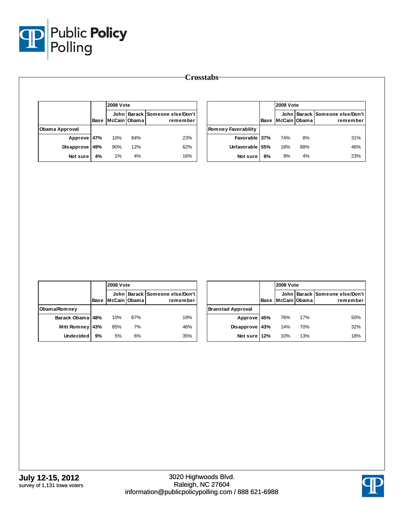

|                |             | <b>2008 Vote</b> |     |                                            |          |
|----------------|-------------|------------------|-----|--------------------------------------------|----------|
|                | <b>Base</b> | McCain Obama     |     | John Barack Someone else/Don't<br>remember |          |
| Obama Approval |             |                  |     |                                            | Romney F |
| Approve 47%    |             | 10%              | 84% | 23%                                        |          |
| Disapprove 49% |             | 90%              | 12% | 62%                                        |          |
| Not sure       | 4%          | 1%               | 4%  | 16%                                        |          |

|                            |             | <b>2008 Vote</b> |     |                                            |  |
|----------------------------|-------------|------------------|-----|--------------------------------------------|--|
|                            | <b>Base</b> | McCain Obama     |     | John Barack Someone else/Don't<br>remember |  |
| <b>Romney Favorability</b> |             |                  |     |                                            |  |
| Favorable 37%              |             | 74%              | 8%  | 31%                                        |  |
| Unfavorable 55%            |             | 18%              | 88% | 46%                                        |  |
| Not sure                   | 8%          | 8%               | 4%  | 23%                                        |  |

|                    |      | <b>2008 Vote</b> |     |                                            |  |
|--------------------|------|------------------|-----|--------------------------------------------|--|
|                    | Base | McCain IObama    |     | John Barack Someone else/Don't<br>remember |  |
| Obama/Romney       |      |                  |     |                                            |  |
| Barack Obama 48%   |      | 10%              | 87% | 19%                                        |  |
| <b>Mitt Romney</b> | 43%  | 85%              | 7%  | 46%                                        |  |
| <b>Undecided</b>   | 9%   | 5%               | 6%  | 35%                                        |  |

|                          |             | <b>2008 Vote</b> |     |                                            |  |
|--------------------------|-------------|------------------|-----|--------------------------------------------|--|
|                          | <b>Base</b> | McCain Obama     |     | John Barack Someone else/Don't<br>remember |  |
| <b>Branstad Approval</b> |             |                  |     |                                            |  |
| Approve 45%              |             | 76%              | 17% | 50%                                        |  |
| Disapprove               | 43%         | 14%              | 70% | 32%                                        |  |
| Not sure 12%             |             | 10%              | 13% | 18%                                        |  |

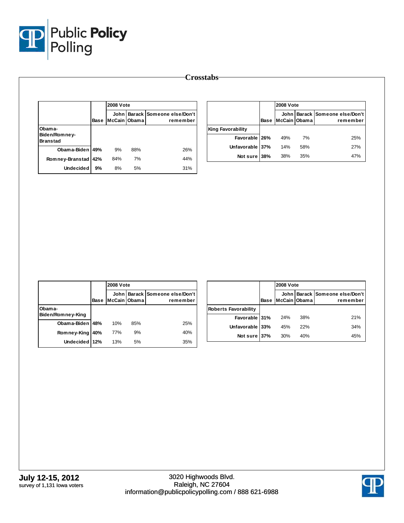

|                                            |             | <b>2008 Vote</b>     |     |                                         |  |
|--------------------------------------------|-------------|----------------------|-----|-----------------------------------------|--|
|                                            | <b>Base</b> | John<br>McCain Obama |     | Barack   Someone else/Don't<br>remember |  |
| Obama-<br>Biden/Romney-<br><b>Branstad</b> |             |                      |     |                                         |  |
| Obama-Biden 49%                            |             | 9%                   | 88% | 26%                                     |  |
| Romney-Branstad                            | 42%         | 84%                  | 7%  | 44%                                     |  |
| <b>Undecided</b>                           | 9%          | 8%                   | 5%  | 31%                                     |  |

|                          |             | <b>2008 Vote</b> |     |                                            |  |
|--------------------------|-------------|------------------|-----|--------------------------------------------|--|
|                          | <b>Base</b> | McCain Obama     |     | John Barack Someone else/Don't<br>remember |  |
| <b>King Favorability</b> |             |                  |     |                                            |  |
| Favorable 26%            |             | 49%              | 7%  | 25%                                        |  |
| Unfavorable 37%          |             | 14%              | 58% | 27%                                        |  |
| Not sure                 | 38%         | 38%              | 35% | 47%                                        |  |

|                             |      | <b>2008 Vote</b> |     |                                                |  |
|-----------------------------|------|------------------|-----|------------------------------------------------|--|
|                             | Base | McCain Obama     |     | John   Barack   Someone else/Don't<br>remember |  |
| Obama-<br>Biden/Romney-King |      |                  |     |                                                |  |
| Obama-Biden                 | 48%  | 10%              | 85% | 25%                                            |  |
| Romney-King                 | 40%  | 77%              | 9%  | 40%                                            |  |
| Undecided 12%               |      | 13%              | 5%  | 35%                                            |  |

|                             |      | <b>2008 Vote</b> |     |                                            |  |
|-----------------------------|------|------------------|-----|--------------------------------------------|--|
|                             | Base | McCain Obama     |     | John Barack Someone else/Don't<br>remember |  |
| <b>Roberts Favorability</b> |      |                  |     |                                            |  |
| Favorable 31%               |      | 24%              | 38% | 21%                                        |  |
| Unfavorable 33%             |      | 45%              | 22% | 34%                                        |  |
| Not sure 37%                |      | 30%              | 40% | 45%                                        |  |

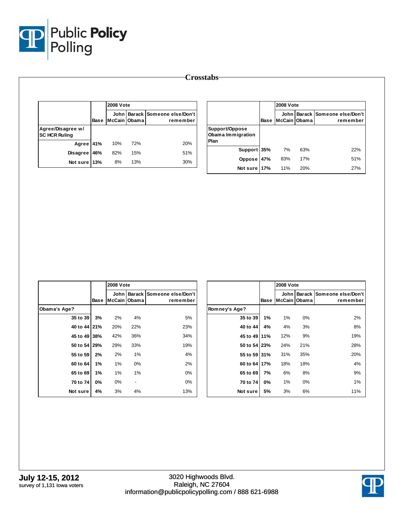

|                                           |      | <b>2008 Vote</b>       |     |                                       |  |
|-------------------------------------------|------|------------------------|-----|---------------------------------------|--|
|                                           | Base | John I<br>McCain Obama |     | Barack Someone else/Don't<br>remember |  |
| Agree/Disagree w/<br><b>SC HCR Ruling</b> |      |                        |     |                                       |  |
| Agree 41%                                 |      | 10%                    | 72% | 20%                                   |  |
| <b>Disagree</b>                           | 46%  | 82%                    | 15% | 51%                                   |  |
| Not sure 13%                              |      | 8%                     | 13% | 30%                                   |  |

|                                             |             | <b>2008 Vote</b> |              |                                            |  |  |
|---------------------------------------------|-------------|------------------|--------------|--------------------------------------------|--|--|
|                                             | <b>Base</b> |                  | McCain Obama | John Barack Someone else/Don't<br>remember |  |  |
| Support/Oppose<br>Obama Immigration<br>Plan |             |                  |              |                                            |  |  |
| Support 35%                                 |             | 7%               | 63%          | 22%                                        |  |  |
| Oppose                                      | 47%         | 83%              | 17%          | 51%                                        |  |  |
| Not sure 17%                                |             | 11%              | 20%          | 27%                                        |  |  |

|              |      | 2008 Vote    |                          |                                                |               |             |
|--------------|------|--------------|--------------------------|------------------------------------------------|---------------|-------------|
|              | Base | McCain Obama |                          | John   Barack   Someone else/Don't<br>remember |               | <b>Base</b> |
| Obama's Age? |      |              |                          |                                                | Romney's Age? |             |
| 35 to 39     | 3%   | 2%           | 4%                       | 5%                                             | 35 to 39      | 1%          |
| 40 to 44 21% |      | 20%          | 22%                      | 23%                                            | 40 to 44      | 4%          |
| 45 to 49 38% |      | 42%          | 36%                      | 34%                                            | 45 to 49 11%  |             |
| 50 to 54 29% |      | 29%          | 33%                      | 19%                                            | 50 to 54 23%  |             |
| 55 to 59     | 2%   | 2%           | 1%                       | 4%                                             | 55 to 59 31%  |             |
| 60 to 64     | 1%   | 1%           | 0%                       | 2%                                             | 60 to 64 17%  |             |
| 65 to 69     | 1%   | 1%           | 1%                       | 0%                                             | 65 to 69      | 7%          |
| 70 to 74     | 0%   | 0%           | $\overline{\phantom{a}}$ | 0%                                             | 70 to 74      | 0%          |
| Not sure     | 4%   | 3%           | 4%                       | 13%                                            | Not sure      | 5%          |

|               |      | <b>2008 Vote</b>     |     |                                       |
|---------------|------|----------------------|-----|---------------------------------------|
|               | Base | John<br>McCain Obama |     | Barack Someone else/Don't<br>remember |
| Romney's Age? |      |                      |     |                                       |
| 35 to 39      | 1%   | 1%                   | 0%  | 2%                                    |
| 40 to 44      | 4%   | 4%                   | 3%  | 8%                                    |
| 45 to 49      | 11%  | 12%                  | 9%  | 19%                                   |
| 50 to 54      | 23%  | 24%                  | 21% | 28%                                   |
| 55 to 59 31%  |      | 31%                  | 35% | 20%                                   |
| 60 to 64      | 17%  | 18%                  | 18% | 4%                                    |
| 65 to 69      | 7%   | 6%                   | 8%  | 9%                                    |
| 70 to 74      | 0%   | 1%                   | 0%  | 1%                                    |
| Not sure      | 5%   | 3%                   | 6%  | 11%                                   |

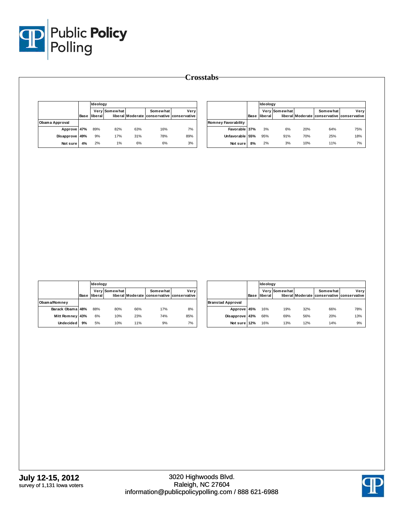

|                |      |         | Ideology      |     |                                                        |      |  |
|----------------|------|---------|---------------|-----|--------------------------------------------------------|------|--|
|                | Base | liberal | Very Somewhat |     | Somewhat<br>liberal Moderate conservative conservative | Very |  |
| Obama Approval |      |         |               |     |                                                        |      |  |
| Approve 47%    |      | 89%     | 82%           | 63% | 16%                                                    | 7%   |  |
| Disapprove 49% |      | 9%      | 17%           | 31% | 78%                                                    | 89%  |  |
| Not sure       | 4%   | 2%      | 1%            | 6%  | 6%                                                     | 3%   |  |

|                            |      | Ideology |               |     |                                                        |      |  |
|----------------------------|------|----------|---------------|-----|--------------------------------------------------------|------|--|
|                            | Base | liberal  | Very Somewhat |     | Somewhat<br>liberal Moderate conservative conservative | Very |  |
| <b>Romney Favorability</b> |      |          |               |     |                                                        |      |  |
| Favorable 37%              |      | 3%       | 6%            | 20% | 64%                                                    | 75%  |  |
| Unfavorable 55%            |      | 95%      | 91%           | 70% | 25%                                                    | 18%  |  |
| Not sure                   | 8%   | 2%       | 3%            | 10% | 11%                                                    | 7%   |  |

|                  |      |         | Ideology      |     |                                                               |      |  |  |
|------------------|------|---------|---------------|-----|---------------------------------------------------------------|------|--|--|
|                  | Base | liberal | Very Somewhat |     | <b>Somewhat</b><br>liberal Moderate conservative conservative | Very |  |  |
| Obama/Romney     |      |         |               |     |                                                               |      |  |  |
| Barack Obama 48% |      | 88%     | 80%           | 66% | 17%                                                           | 8%   |  |  |
| Mitt Romney 43%  |      | 6%      | 10%           | 23% | 74%                                                           | 85%  |  |  |
| <b>Undecided</b> | 9%   | 5%      | 10%           | 11% | 9%                                                            | 7%   |  |  |

|                          |      |         | Ideology      |     |                                                        |      |  |  |  |
|--------------------------|------|---------|---------------|-----|--------------------------------------------------------|------|--|--|--|
|                          | Base | liberal | Very Somewhat |     | Somewhat<br>liberal Moderate conservative conservative | Very |  |  |  |
| <b>Branstad Approval</b> |      |         |               |     |                                                        |      |  |  |  |
| Approve 45%              |      | 16%     | 19%           | 32% | 66%                                                    | 78%  |  |  |  |
| Disapprove 43%           |      | 68%     | 69%           | 56% | 20%                                                    | 13%  |  |  |  |
| Not sure 12%             |      | 16%     | 13%           | 12% | 14%                                                    | 9%   |  |  |  |

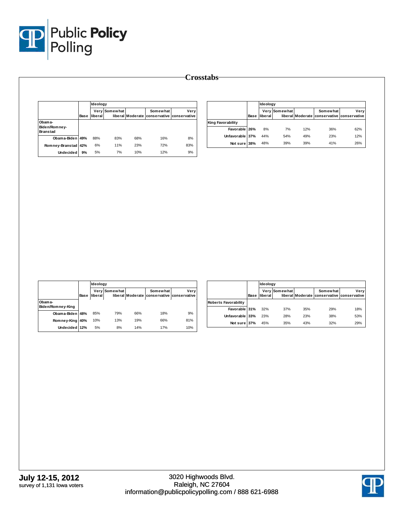

|                                            | Base | <b>Ideology</b> |               |     |                                                        |      |  |
|--------------------------------------------|------|-----------------|---------------|-----|--------------------------------------------------------|------|--|
|                                            |      | liberal         | Very Somewhat |     | Somewhat<br>liberal Moderate conservative conservative | Very |  |
| Obama-<br>Biden/Romney-<br><b>Branstad</b> |      |                 |               |     |                                                        |      |  |
| Obama-Biden 49%                            |      | 88%             | 83%           | 68% | 16%                                                    | 8%   |  |
| Romney-Branstad                            | 42%  | 6%              | 11%           | 23% | <b>72%</b>                                             | 83%  |  |
| Undecided                                  | 9%   | 5%              | 7%            | 10% | 12%                                                    | 9%   |  |

|                          |      | Ideology              |               |     |                                                        |      |  |
|--------------------------|------|-----------------------|---------------|-----|--------------------------------------------------------|------|--|
|                          | Base | iliberal <sup>1</sup> | Very Somewhat |     | Somewhat<br>liberal Moderate conservative conservative | Verv |  |
| <b>King Favorability</b> |      |                       |               |     |                                                        |      |  |
| Favorable 26%            |      | 8%                    | 7%            | 12% | 36%                                                    | 62%  |  |
| Unfavorable 37%          |      | 44%                   | 54%           | 49% | 23%                                                    | 12%  |  |
| Not sure                 | 38%  | 48%                   | 39%           | 39% | 41%                                                    | 26%  |  |

|                             |             | Ideology |               |     |                                                        |      |  |
|-----------------------------|-------------|----------|---------------|-----|--------------------------------------------------------|------|--|
|                             | <b>Base</b> | liberal  | Very Somewhat |     | Somewhat<br>liberal Moderate conservative conservative | Very |  |
| Obama-<br>Biden/Romney-King |             |          |               |     |                                                        |      |  |
| Obama-Biden 48%             |             | 85%      | 79%           | 66% | 18%                                                    | 9%   |  |
| Romney-King                 | 40%         | 10%      | 13%           | 19% | 66%                                                    | 81%  |  |
| Undecided 12%               |             | 5%       | 8%            | 14% | 17%                                                    | 10%  |  |

|                      |      | Ideology |               |     |                                                        |      |
|----------------------|------|----------|---------------|-----|--------------------------------------------------------|------|
|                      | Base | liberal  | Very Somewhat |     | Somewhat<br>liberal Moderate conservative conservative | Verv |
| Roberts Favorability |      |          |               |     |                                                        |      |
| Favorable 31%        |      | 32%      | 37%           | 35% | 29%                                                    | 18%  |
| Unfavorable 33%      |      | 23%      | 28%           | 23% | 38%                                                    | 53%  |
| Not sure 37%         |      | 45%      | 35%           | 43% | 32%                                                    | 29%  |

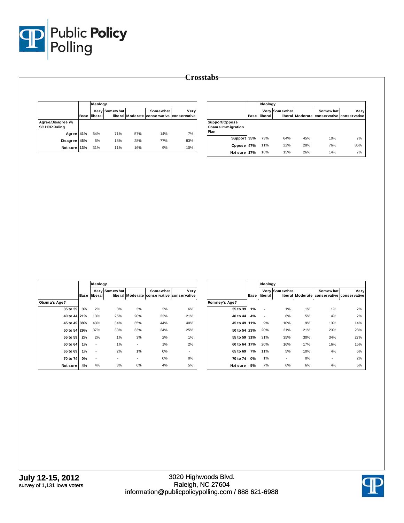

|                                           |      | Ideology |               |     |                                                        |      |
|-------------------------------------------|------|----------|---------------|-----|--------------------------------------------------------|------|
|                                           | Base | liberal  | Very Somewhat |     | Somewhat<br>liberal Moderate conservative conservative | Very |
| Agree/Disagree w/<br><b>SC HCR Ruling</b> |      |          |               |     |                                                        |      |
| Agree 41%                                 |      | 64%      | 71%           | 57% | 14%                                                    | 7%   |
| <b>Disagree</b>                           | 46%  | 6%       | 18%           | 28% | <b>77%</b>                                             | 83%  |
| Not sure 13%                              |      | 31%      | 11%           | 16% | 9%                                                     | 10%  |

|                                             |      | Ideology |               |     |                                                        |      |
|---------------------------------------------|------|----------|---------------|-----|--------------------------------------------------------|------|
|                                             | Base | liberal  | Very Somewhat |     | Somewhat<br>liberal Moderate conservative conservative | Very |
| Support/Oppose<br>Obama Immigration<br>Plan |      |          |               |     |                                                        |      |
| Support 35%                                 |      | 73%      | 64%           | 45% | 10%                                                    | 7%   |
| Oppose                                      | 47%  | 11%      | 22%           | 28% | 76%                                                    | 86%  |
| Not sure 17%                                |      | 16%      | 15%           | 26% | 14%                                                    | 7%   |

|              |             | Ideology |                          |                          |                                                        |      |               |             | Ideology                 |                          |     |                                                        |      |
|--------------|-------------|----------|--------------------------|--------------------------|--------------------------------------------------------|------|---------------|-------------|--------------------------|--------------------------|-----|--------------------------------------------------------|------|
|              | <b>Base</b> | liberal  | <b>Very Somewhat</b>     |                          | Somewhat<br>liberal Moderate conservative conservative | Very |               | <b>Base</b> | liberal                  | Very Somewhat            |     | Somewhat<br>liberal Moderate conservative conservative | Very |
| Obama's Age? |             |          |                          |                          |                                                        |      | Romney's Age? |             |                          |                          |     |                                                        |      |
| 35 to 39     | 3%          | 2%       | 3%                       | 3%                       | 2%                                                     | 6%   | 35 to 39      | 1%          | ٠                        | 1%                       | 1%  | 1%                                                     | 2%   |
| 40 to 44 21% |             | 13%      | 25%                      | 20%                      | 22%                                                    | 21%  | 40 to 44      | 4%          | $\overline{\phantom{a}}$ | 6%                       | 5%  | 4%                                                     | 2%   |
| 45 to 49 38% |             | 43%      | 34%                      | 35%                      | 44%                                                    | 40%  | 45 to 49 11%  |             | 9%                       | 10%                      | 9%  | 13%                                                    | 14%  |
| 50 to 54 29% |             | 37%      | 33%                      | 33%                      | 24%                                                    | 25%  | 50 to 54 23%  |             | 20%                      | 21%                      | 21% | 23%                                                    | 28%  |
| 55 to 59     | 2%          | 2%       | 1%                       | 3%                       | 2%                                                     | 1%   | 55 to 59 31%  |             | 31%                      | 35%                      | 30% | 34%                                                    | 27%  |
| 60 to 64     | 1%          | $\sim$   | 1%                       | $\overline{\phantom{a}}$ | 1%                                                     | 2%   | 60 to 64 17%  |             | 20%                      | 16%                      | 17% | 16%                                                    | 15%  |
| 65 to 69     | 1%          | $\sim$   | 2%                       | 1%                       | 0%                                                     |      | 65 to 69      | 7%          | 11%                      | 5%                       | 10% | 4%                                                     | 6%   |
| 70 to 74     | 0%          | $\sim$   | $\overline{\phantom{a}}$ | $\overline{\phantom{a}}$ | 0%                                                     | 0%   | 70 to 74      | 0%          | 1%                       | $\overline{\phantom{a}}$ | 0%  | $\sim$                                                 | 2%   |
| Not sure     | 4%          | 4%       | 3%                       | 6%                       | 4%                                                     | 5%   | Not sure      | 5%          | 7%                       | 6%                       | 6%  | 4%                                                     | 5%   |

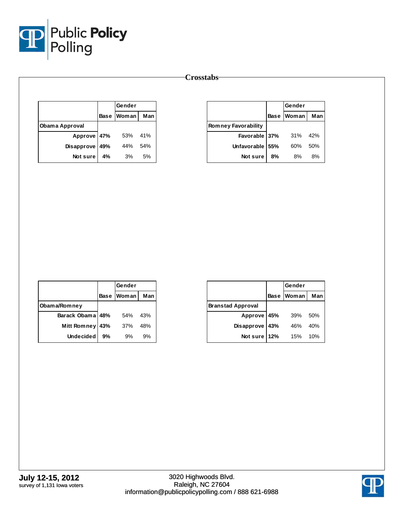

|                |     | Gender     |     |
|----------------|-----|------------|-----|
|                |     | Base Woman | Man |
| Obama Approval |     |            |     |
| Approve 47%    |     | 53%        | 41% |
| Disapprove     | 49% | 44%        | 54% |
| Not sure       | 4%  | 3%         | 5%  |

|                            |             | Gender |     |  |
|----------------------------|-------------|--------|-----|--|
|                            | <b>Base</b> | Woman  | Man |  |
| <b>Romney Favorability</b> |             |        |     |  |
| Favorable 37%              |             | 31%    | 42% |  |
| <b>Unfavorable</b>         | 55%         | 60%    | 50% |  |
| Not sure                   | 8%          | 8%     | 8%  |  |

|                    |     | Gender     |     |
|--------------------|-----|------------|-----|
|                    |     | Base Woman | Man |
| Obama/Romney       |     |            |     |
| Barack Obama 48%   |     | 54%        | 43% |
| <b>Mitt Romney</b> | 43% | 37%        | 48% |
| <b>Undecided</b>   | 9%  | 9%         | 9%  |

|                          |             | Gender |     |
|--------------------------|-------------|--------|-----|
|                          | <b>Base</b> | Woman  | Man |
| <b>Branstad Approval</b> |             |        |     |
| Approve 45%              |             | 39%    | 50% |
| Disapprove               | 43%         | 46%    | 40% |
| Not sure                 | 12%         | 15%    | 10% |

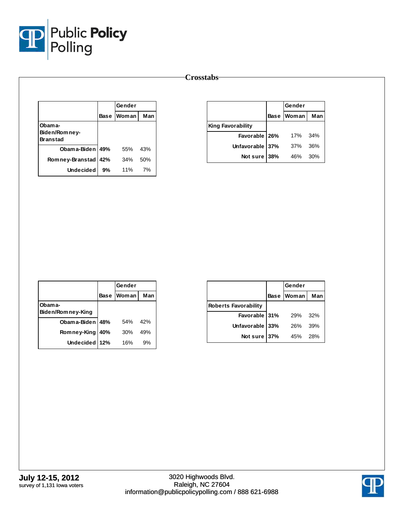

|                                            |             | Gender |     |
|--------------------------------------------|-------------|--------|-----|
|                                            | <b>Base</b> | Woman  | Man |
| Obama-<br>Biden/Romney-<br><b>Branstad</b> |             |        |     |
| Obam a-Biden   49%                         |             | 55%    | 43% |
| Romney-Branstad                            | 42%         | 34%    | 50% |
| <b>Undecided</b>                           | 9%          | 11%    | 7%  |

|                          | Gender     |       |
|--------------------------|------------|-------|
|                          | Base Woman | Man   |
| <b>King Favorability</b> |            |       |
| Favorable 26%            | 17%        | - 34% |
| Unfavorable 37%          | 37%        | 36%   |
| Not sure 38%             | 46%        | 30%   |

|                              |      | Gender       |     |  |
|------------------------------|------|--------------|-----|--|
|                              | Base | <b>Woman</b> | Man |  |
| Obam a-<br>Biden/Romney-King |      |              |     |  |
| Obama-Biden   48%            |      | 54%          | 42% |  |
| Romney-King                  | 40%  | 30%          | 49% |  |
| Undecided   12%              |      | 16%          | 9%  |  |

|                             |     | Gender     |     |
|-----------------------------|-----|------------|-----|
|                             |     | Base Woman | Man |
| <b>Roberts Favorability</b> |     |            |     |
| Favorable 31%               |     | <b>29%</b> | 32% |
| Unfavorable 33%             |     | 26%        | 39% |
| Not sure                    | 37% | 45%        | 28% |

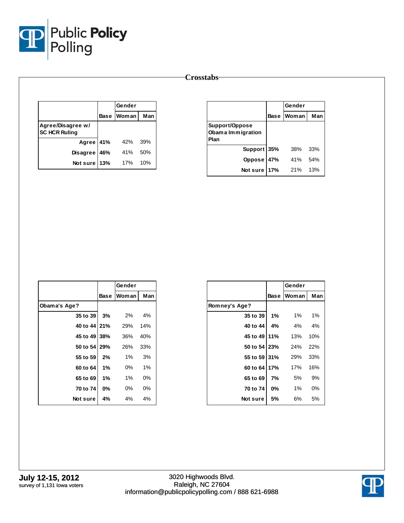

|                                           |     | Gender            |     |
|-------------------------------------------|-----|-------------------|-----|
|                                           |     | <b>Base Woman</b> | Man |
| Agree/Disagree w/<br><b>SC HCR Ruling</b> |     |                   |     |
| Agree 41%                                 |     | 42%               | 39% |
| <b>Disagree</b>                           | 46% | 41%               | 50% |
| Not sure                                  | 13% | 17%               | 10% |

|                                             |             | Gender |     |  |
|---------------------------------------------|-------------|--------|-----|--|
|                                             | <b>Base</b> | Woman  | Man |  |
| Support/Oppose<br>Obama Immigration<br>Plan |             |        |     |  |
| Support 35%                                 |             | 38%    | 33% |  |
| Oppose                                      | 47%         | 41%    | 54% |  |
| Not sure                                    | 17%         | 21%    | 13% |  |

|                |       | Gender |       |
|----------------|-------|--------|-------|
|                | Base  | Woman  | Man   |
| Obama's Age?   |       |        |       |
| 35 to 39       | 3%    | 2%     | 4%    |
| 40 to 44 21%   |       | 29%    | 14%   |
| 45 to 49 38%   |       | 36%    | 40%   |
| 50 to 54   29% |       | 26%    | 33%   |
| 55 to 59       | 2%    | 1%     | 3%    |
| 60 to 64       | 1%    | 0%     | 1%    |
| 65 to 69       | 1%    | 1%     | 0%    |
| 70 to 74       | $0\%$ | $0\%$  | $0\%$ |
| Notsure        | 4%    | 4%     | 4%    |

|                |             | Gender |     |
|----------------|-------------|--------|-----|
|                | <b>Base</b> | Woman  | Man |
| Romney's Age?  |             |        |     |
| 35 to 39       | $1\%$       | 1%     | 1%  |
| 40 to 44       | 4%          | 4%     | 4%  |
| 45 to 49   11% |             | 13%    | 10% |
| 50 to 54   23% |             | 24%    | 22% |
| 55 to 59 31%   |             | 29%    | 33% |
| 60 to 64 17%   |             | 17%    | 16% |
| 65 to 69       | 7%          | 5%     | 9%  |
| 70 to 74       | 0%          | 1%     | 0%  |
| Notsure        | 5%          | 6%     | 5%  |

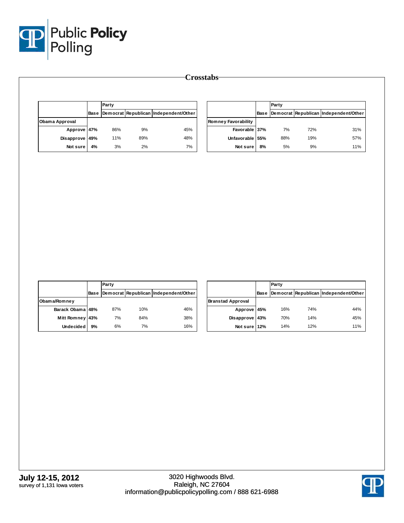

|                |      | Party |     |                                       |                            |    | Party |     |                                            |
|----------------|------|-------|-----|---------------------------------------|----------------------------|----|-------|-----|--------------------------------------------|
|                | Base |       |     | Democrat Republican Independent/Other |                            |    |       |     | Base Democrat Republican Independent/Other |
| Obama Approval |      |       |     |                                       | <b>Romney Favorability</b> |    |       |     |                                            |
| Approve 47%    |      | 86%   | 9%  | 45%                                   | Favorable 37%              |    | 7%    | 72% | 31%                                        |
| Disapprove 49% |      | 11%   | 89% | 48%                                   | Unfavorable 55%            |    | 88%   | 19% | 57%                                        |
| Not sure       | 4%   | 3%    | 2%  | 7%                                    | Not sure                   | 8% | 5%    | 9%  | 11%                                        |

|                    |      | Party |     |                                       |  |
|--------------------|------|-------|-----|---------------------------------------|--|
|                    | Base |       |     | Democrat Republican Independent/Other |  |
| Obama/Romney       |      |       |     |                                       |  |
| Barack Obama 48%   |      | 87%   | 10% | 46%                                   |  |
| <b>Mitt Romney</b> | 43%  | 7%    | 84% | 38%                                   |  |
| <b>Undecided</b>   | 9%   | 6%    | 7%  | 16%                                   |  |

|                          |      | Party |     |                                       |  |  |
|--------------------------|------|-------|-----|---------------------------------------|--|--|
|                          | Base |       |     | Democrat Republican Independent/Other |  |  |
| <b>Branstad Approval</b> |      |       |     |                                       |  |  |
| Approve 45%              |      | 16%   | 74% | 44%                                   |  |  |
| Disapprove 43%           |      | 70%   | 14% | 45%                                   |  |  |
| Not sure 12%             |      | 14%   | 12% | 11%                                   |  |  |

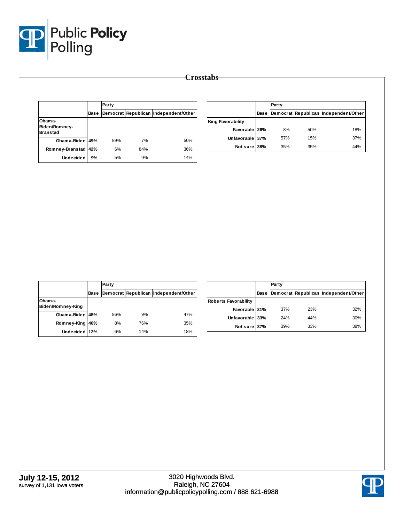

|                                  |      | Party |     |                                       |                          |      | Party |     |                                       |  |
|----------------------------------|------|-------|-----|---------------------------------------|--------------------------|------|-------|-----|---------------------------------------|--|
|                                  | Base |       |     | Democrat Republican Independent/Other |                          | Base |       |     | Democrat Republican Independent/Other |  |
| Obama-                           |      |       |     |                                       | <b>King Favorability</b> |      |       |     |                                       |  |
| Biden/Romney-<br><b>Branstad</b> |      |       |     |                                       | Favorable 26%            |      | 8%    | 50% | 18%                                   |  |
| Obama-Biden 49%                  |      | 89%   | 7%  | 50%                                   | Unfavorable 37%          |      | 57%   | 15% | 37%                                   |  |
| Romney-Branstad 42%              |      | 6%    | 84% | 36%                                   | Not sure 38%             |      | 35%   | 35% | 44%                                   |  |
| <b>Undecided</b>                 | 9%   | 5%    | 9%  | 14%                                   |                          |      |       |     |                                       |  |

|                             |      | Party |     |                                       |
|-----------------------------|------|-------|-----|---------------------------------------|
|                             | Base |       |     | Democrat Republican Independent/Other |
| Obama-<br>Biden/Romney-King |      |       |     |                                       |
| Obama-Biden 48%             |      | 86%   | 9%  | 47%                                   |
| Romney-King                 | 40%  | 8%    | 76% | 35%                                   |
| Undecided 12%               |      | 6%    | 14% | 18%                                   |

|                             |      | Party |     |                                       |
|-----------------------------|------|-------|-----|---------------------------------------|
|                             | Base |       |     | Democrat Republican Independent/Other |
| <b>Roberts Favorability</b> |      |       |     |                                       |
| Favorable 31%               |      | 37%   | 23% | 32%                                   |
| Unfavorable 33%             |      | 24%   | 44% | 30%                                   |
| Not sure 37%                |      | 39%   | 33% | 38%                                   |

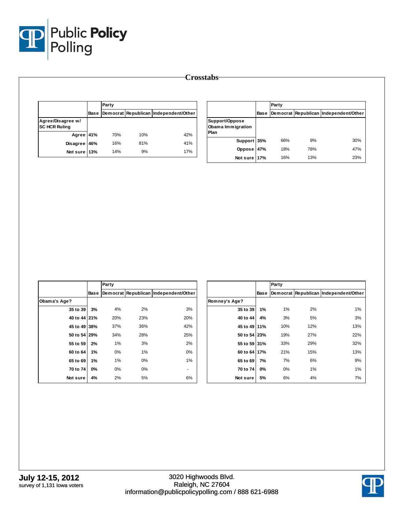

|                                           |      | Party |     |                                       |  |
|-------------------------------------------|------|-------|-----|---------------------------------------|--|
|                                           | Base |       |     | Democrat Republican Independent/Other |  |
| Agree/Disagree w/<br><b>SC HCR Ruling</b> |      |       |     |                                       |  |
| Agree 41%                                 |      | 70%   | 10% | 42%                                   |  |
| <b>Disagree</b>                           | 46%  | 16%   | 81% | 41%                                   |  |
| Not sure 13%                              |      | 14%   | 9%  | 17%                                   |  |

|                                             |      | Party |     |                                       |  |  |
|---------------------------------------------|------|-------|-----|---------------------------------------|--|--|
|                                             | Base |       |     | Democrat Republican Independent/Other |  |  |
| Support/Oppose<br>Obama Immigration<br>Plan |      |       |     |                                       |  |  |
| Support 35%                                 |      | 66%   | 9%  | 30%                                   |  |  |
| Oppose 47%                                  |      | 18%   | 78% | 47%                                   |  |  |
| Not sure 17%                                |      | 16%   | 13% | 23%                                   |  |  |

|              |             | Party |       |                                       |
|--------------|-------------|-------|-------|---------------------------------------|
|              | <b>Base</b> |       |       | Democrat Republican Independent/Other |
| Obama's Age? |             |       |       |                                       |
| 35 to 39     | 3%          | 4%    | 2%    | 3%                                    |
| 40 to 44 21% |             | 20%   | 23%   | 20%                                   |
| 45 to 49     | 38%         | 37%   | 36%   | 42%                                   |
| 50 to 54 29% |             | 34%   | 28%   | 25%                                   |
| 55 to 59     | 2%          | 1%    | 3%    | 2%                                    |
| 60 to 64     | 1%          | $0\%$ | 1%    | 0%                                    |
| 65 to 69     | 1%          | 1%    | 0%    | 1%                                    |
| 70 to 74     | 0%          | 0%    | $0\%$ |                                       |
| Not sure     | 4%          | 2%    | 5%    | 6%                                    |

|               |      | Party |     |                                       |
|---------------|------|-------|-----|---------------------------------------|
|               | Base |       |     | Democrat Republican Independent/Other |
| Romney's Age? |      |       |     |                                       |
| 35 to 39      | 1%   | 1%    | 2%  | 1%                                    |
| 40 to 44      | 4%   | 3%    | 5%  | 3%                                    |
| 45 to 49 11%  |      | 10%   | 12% | 13%                                   |
| 50 to 54 23%  |      | 19%   | 27% | 22%                                   |
| 55 to 59      | 131% | 33%   | 29% | 32%                                   |
| 60 to 64      | 17%  | 21%   | 15% | 13%                                   |
| 65 to 69      | 7%   | 7%    | 6%  | 9%                                    |
| 70 to 74      | 0%   | $0\%$ | 1%  | 1%                                    |
| Not sure      | 5%   | 6%    | 4%  | 7%                                    |

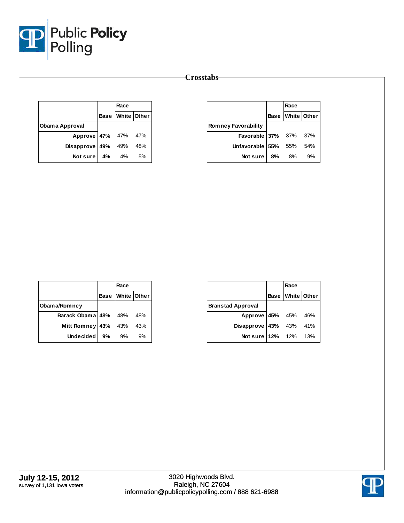

|                       | Race             |     |
|-----------------------|------------------|-----|
|                       | Base White Other |     |
| Obama Approval        |                  |     |
| Approve 47% 47% 47%   |                  |     |
| Disapprove $49\%$ 49% |                  | 48% |
| Notsure l             | 4% 4%            | 5%  |

|                              |    | Race             |    |
|------------------------------|----|------------------|----|
|                              |    | Base White Other |    |
| <b>Romney Favorability</b>   |    |                  |    |
| <b>Favorable 37%</b> 37% 37% |    |                  |    |
| Unfavorable 55% 55% 54%      |    |                  |    |
| Not sure                     | 8% | - 8%             | 9% |

|                      |     | Race             |     |
|----------------------|-----|------------------|-----|
|                      |     | Base White Other |     |
| Obama/Romney         |     |                  |     |
| Barack Obama 48% 48% |     |                  | 48% |
| <b>Mitt Romney</b>   | 43% | 43%              | 43% |
| <b>Undecided</b>     | 9%  | 9%               | 9%  |

|                          | Race |                  |
|--------------------------|------|------------------|
|                          |      | Base White Other |
| <b>Branstad Approval</b> |      |                  |
| Approve 45% 45% 46%      |      |                  |
| Disapprove 43% 43% 41%   |      |                  |
| Not sure 12% 12% 13%     |      |                  |

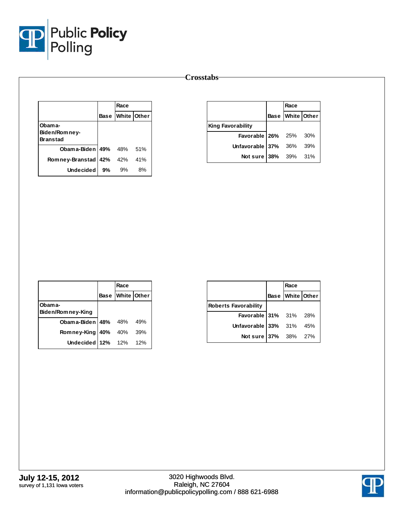

|                                            |    | Race             |    |
|--------------------------------------------|----|------------------|----|
|                                            |    | Base White Other |    |
| Obama-<br>Biden/Romney-<br><b>Branstad</b> |    |                  |    |
| <b>Obama-Biden 49%</b> 48% 51%             |    |                  |    |
| Romney-Branstad 42% 42% 41%                |    |                  |    |
| Undecided                                  | 9% | 9%               | 8% |

|                            | Race             |  |
|----------------------------|------------------|--|
|                            | Base White Other |  |
| <b>King Favorability</b>   |                  |  |
| Favorable 26% 25% 30%      |                  |  |
| Unfavorable $37\%$ 36% 39% |                  |  |
| Not sure 38% 39% 31%       |                  |  |

|                              | Race             |       |
|------------------------------|------------------|-------|
|                              | Base White Other |       |
| Obam a-<br>Biden/Romney-King |                  |       |
| Obama-Biden $ 48\%$ 48%      |                  | 49%   |
| Romney-King   40% 40%        |                  | - 39% |
| Undecided $12\%$ 12%         |                  | 12%   |

|                              | Race |                  |
|------------------------------|------|------------------|
|                              |      | Base White Other |
| <b>Roberts Favorability</b>  |      |                  |
| <b>Favorable 31%</b> 31% 28% |      |                  |
| Unfavorable $33\%$ 31% 45%   |      |                  |
| Not sure 37% 38% 27%         |      |                  |

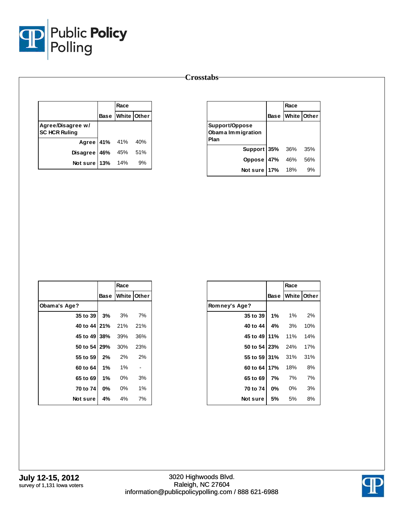

|                                           |                   | Race             |    |
|-------------------------------------------|-------------------|------------------|----|
|                                           |                   | Base White Other |    |
| Agree/Disagree w/<br><b>SC HCR Ruling</b> |                   |                  |    |
|                                           | Agree 41% 41% 40% |                  |    |
| Disagree 46% 45% 51%                      |                   |                  |    |
| Not sure   13% 14%                        |                   |                  | 9% |

|                                             | Race                    |     |
|---------------------------------------------|-------------------------|-----|
|                                             | <b>Base White Other</b> |     |
| Support/Oppose<br>Obama Immigration<br>Plan |                         |     |
| Support 35% 36%                             |                         | 35% |
| Oppose 47%                                  | 46%                     | 56% |
| Not sure 17% 18%                            |                         | 9%  |

|                      |       | Race                    |     |
|----------------------|-------|-------------------------|-----|
|                      |       | <b>Base White Other</b> |     |
| Obama's Age?         |       |                         |     |
| 35 to 39 3% 3%       |       |                         | 7%  |
| 40 to 44 21% 21% 21% |       |                         |     |
| 45 to 49 38% 39%     |       |                         | 36% |
| 50 to 54 29% 30%     |       |                         | 23% |
| 55 to 59 2% 2% 2%    |       |                         |     |
| 60 to 64             |       | $1\%$ 1%                |     |
| 65 to 69             | $1\%$ | 0%                      | 3%  |
| 70 to 74             | 0%    | 0%                      | 1%  |
| Not sure             | 4%    | 4%                      | 7%  |

|                  |           | Race        |     |
|------------------|-----------|-------------|-----|
|                  | Base      | White Other |     |
| Romney's Age?    |           |             |     |
| 35 to 39         | 1%        | 1%          | 2%  |
| 40 to 44         | 4%        | - 3%        | 10% |
| 45 to 49   11%   |           | 11%         | 14% |
| 50 to 54 23% 24% |           |             | 17% |
| 55 to 59 31%     |           | 31%         | 31% |
| 60 to 64 17%     |           | 18%         | 8%  |
| 65 to 69         | 7%        | 7%          | 7%  |
| 70 to 74         | <b>0%</b> | $0\%$       | 3%  |
| Notsure          | 5%        | 5%          | 8%  |

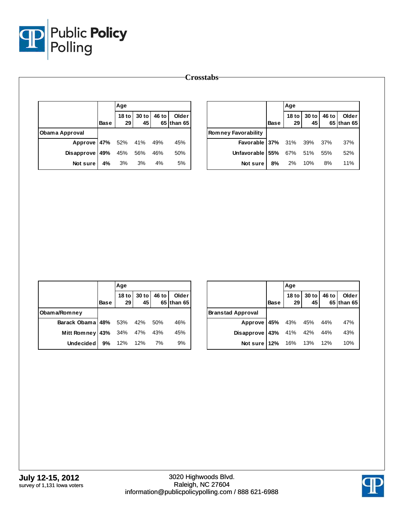

|                   |             | Age                    |               |       |                     |                            |             | Age                    |             |       |                     |
|-------------------|-------------|------------------------|---------------|-------|---------------------|----------------------------|-------------|------------------------|-------------|-------|---------------------|
|                   | <b>Base</b> | 18 <sub>to</sub><br>29 | $30$ to<br>45 | 46 to | Older<br>65 than 65 |                            | <b>Base</b> | 18 <sub>to</sub><br>29 | 30 to<br>45 | 46 to | Older<br>65 than 65 |
| Obama Approval    |             |                        |               |       |                     | <b>Romney Favorability</b> |             |                        |             |       |                     |
| Approve 47%       |             | 52%                    | 41%           | 49%   | 45%                 | Favorable 37%              |             | 31%                    | 39%         | 37%   | 37%                 |
| Disapprove $ 49%$ |             | 45%                    | 56%           | 46%   | 50%                 | Unfavorable 55%            |             | 67%                    | 51%         | 55%   | 52%                 |
| Not sure          | 4%          | 3%                     | 3%            | 4%    | 5%                  | Not sure                   | 8%          | 2%                     | 10%         | 8%    | 11%                 |

|                                |      | Age                  |                            |                     |
|--------------------------------|------|----------------------|----------------------------|---------------------|
|                                | Base |                      | 18 to 30 to 46 to 29 45 65 | Older<br>65 than 65 |
| Obama/Romney                   |      |                      |                            |                     |
| Barack Obama   48% 53% 42% 50% |      |                      |                            | 46%                 |
| Mitt Romney   43% 34% 47% 43%  |      |                      |                            | 45%                 |
| <b>Undecided</b>               |      | <b>9%</b> 12% 12% 7% |                            | 9%                  |

|                            |             | Age  |                   |       |                     |
|----------------------------|-------------|------|-------------------|-------|---------------------|
|                            | <b>Base</b> | 29 I | 18 to 30 to<br>45 | 46 to | Older<br>65 than 65 |
| <b>Branstad Approval</b>   |             |      |                   |       |                     |
| Approve 45% 43% 45% 44%    |             |      |                   |       | 47%                 |
| Disapprove 43% 41% 42% 44% |             |      |                   |       | 43%                 |
| Not sure 12% 16% 13% 12%   |             |      |                   |       | 10%                 |

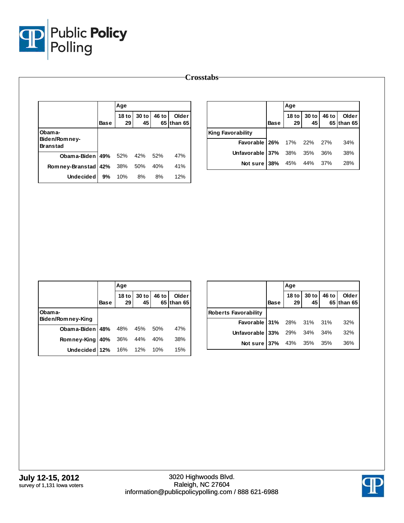

|                                  |             | Age                    |             |       |                     |                          |             | Age           |             |       |                     |
|----------------------------------|-------------|------------------------|-------------|-------|---------------------|--------------------------|-------------|---------------|-------------|-------|---------------------|
|                                  | <b>Base</b> | 18 <sub>to</sub><br>29 | 30 to<br>45 | 46 to | Older<br>65 than 65 |                          | <b>Base</b> | $18$ to<br>29 | 30 to<br>45 | 46 to | Older<br>65 than 65 |
| Obama-                           |             |                        |             |       |                     | <b>King Favorability</b> |             |               |             |       |                     |
| Biden/Romney-<br><b>Branstad</b> |             |                        |             |       |                     | <b>Favorable</b>         | 26%         | 17%           | 22%         | 27%   | 34%                 |
| Obama-Biden   49%                |             | 52%                    | 42%         | 52%   | 47%                 | Unfavorable 37%          |             | 38%           | 35%         | 36%   | 38%                 |
| Romney-Branstad 42%              |             | 38%                    | 50%         | 40%   | 41%                 | Not sure $38%$           |             | 45%           | 44%         | 37%   | 28%                 |
| Undecided                        | 9%          | 10%                    | 8%          | 8%    | 12%                 |                          |             |               |             |       |                     |

|                             |             | Age         |                                |       |                     |
|-----------------------------|-------------|-------------|--------------------------------|-------|---------------------|
|                             | <b>Base</b> | 29          | 18 to 30 to<br>45 <sup>1</sup> | 46 to | Older<br>65 than 65 |
| Obama-<br>Biden/Romney-King |             |             |                                |       |                     |
| Obama-Biden $148\%$ 48% 45% |             |             |                                | 50%   | 47%                 |
| Romney-King                 |             | 40% 36% 44% |                                | 40%   | 38%                 |
| Undecided 12% 16% 12%       |             |             |                                | 10%   | 15%                 |

|                                  |             | Age                    |             |       |                     |
|----------------------------------|-------------|------------------------|-------------|-------|---------------------|
|                                  | <b>Base</b> | 18 <sub>to</sub><br>29 | 30 to<br>45 | 46 to | Older<br>65 than 65 |
| <b>Roberts Favorability</b>      |             |                        |             |       |                     |
| <b>Favorable 31%</b> 28% 31% 31% |             |                        |             |       | 32%                 |
| Unfavorable 33% 29% 34% 34%      |             |                        |             |       | 32%                 |
| <b>Not sure 37%</b> 43% 35% 35%  |             |                        |             |       | 36%                 |